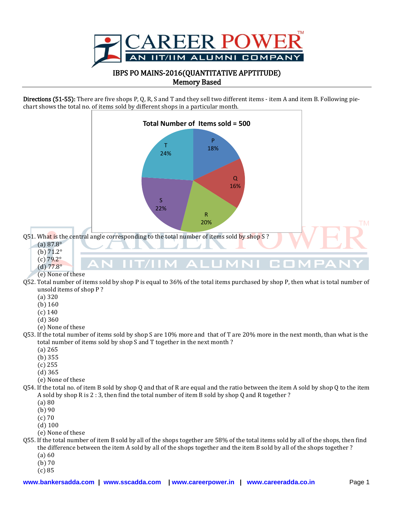

Directions (51-55): There are five shops P, Q, R, S and T and they sell two different items - item A and item B. Following piechart shows the total no. of items sold by different shops in a particular month.



(c) 85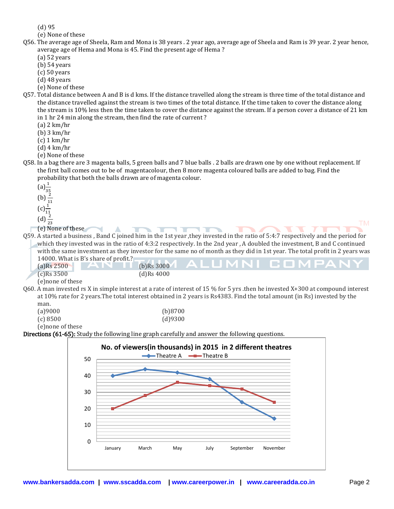(d) 95

(e) None of these

- Q56. The average age of Sheela, Ram and Mona is 38 years . 2 year ago, average age of Sheela and Ram is 39 year. 2 year hence, average age of Hema and Mona is 45. Find the present age of Hema ?
	- (a) 52 years
	- (b) 54 years
	- (c) 50 years
	- (d) 48 years
	- (e) None of these
- Q57. Total distance between A and B is d kms. If the distance travelled along the stream is three time of the total distance and the distance travelled against the stream is two times of the total distance. If the time taken to cover the distance along the stream is 10% less then the time taken to cover the distance against the stream. If a person cover a distance of 21 km in 1 hr 24 min along the stream, then find the rate of current ?
	- (a) 2 km/hr
	- (b) 3 km/hr
	- (c) 1 km/hr
	- (d) 4 km/hr
	- (e) None of these
- Q58. In a bag there are 3 magenta balls, 5 green balls and 7 blue balls . 2 balls are drawn one by one without replacement. If the first ball comes out to be of magentacolour, then 8 more magenta coloured balls are added to bag. Find the probability that both the balls drawn are of magenta colour.
	- $(a) \frac{1}{3!}$ (b)  $\overline{11}$
	- $(c) \frac{1}{11}$
	- $(d) \frac{1}{2}$
	- (e) None of these

**THEFT** Q59. A started a business , Band C joined him in the 1st year ,they invested in the ratio of 5:4:7 respectively and the period for which they invested was in the ratio of 4:3:2 respectively. In the 2nd year , A doubled the investment, B and C continued with the same investment as they investor for the same no of month as they did in 1st year. The total profit in 2 years was 14000. What is B's share of profit.?

| $(a)$ Rs 2500    | THOUGH WHALE DISTRICT OF DEVILLE<br>I AN II |               | (b)Rs 3000 ALUMNI COMPANY |
|------------------|---------------------------------------------|---------------|---------------------------|
| $(c)$ Rs 3500    |                                             | $(d)$ Rs 4000 |                           |
| (e)none of these |                                             |               |                           |

Q60. A man invested rs X in simple interest at a rate of interest of 15 % for 5 yrs .then he invested X+300 at compound interest at 10% rate for 2 years.The total interest obtained in 2 years is Rs4383. Find the total amount (in Rs) invested by the man.

| (a)9000           | (b)8700 |
|-------------------|---------|
| (c) 8500          | (d)9300 |
| (e) none of these |         |

 $\overline{\phantom{0}}$ 

 $\triangle$ 

Directions (61-65): Study the following line graph carefully and answer the following questions.

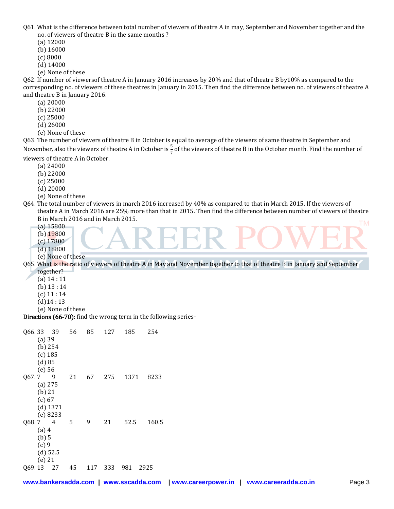Q61. What is the difference between total number of viewers of theatre A in may, September and November together and the no. of viewers of theatre B in the same months ?

- (a) 12000
- (b) 16000
- (c) 8000
- (d) 14000
- (e) None of these

Q62. If number of viewersof theatre A in January 2016 increases by 20% and that of theatre B by10% as compared to the corresponding no. of viewers of these theatres in January in 2015. Then find the difference between no. of viewers of theatre A and theatre B in January 2016.

- (a) 20000
- (b) 22000
- (c) 25000
- (d) 26000
- (e) None of these

Q63. The number of viewers of theatre B in October is equal to average of the viewers of same theatre in September and November, also the viewers of theatre A in October is  $\frac{3}{7}$  of the viewers of theatre B in the October month. Find the number of

viewers of theatre A in October.

- (a) 24000
- (b) 22000
- (c) 25000
- (d) 20000
- (e) None of these
- Q64. The total number of viewers in march 2016 increased by 40% as compared to that in March 2015. If the viewers of theatre A in March 2016 are 25% more than that in 2015. Then find the difference between number of viewers of theatre B in March 2016 and in March 2015. **FM** 
	- (a) 15800
	- (b) 19800
	- (c) 17800
	- (d) 18800

(e) None of these Q65. What is the ratio of viewers of theatre A in May and November together to that of theatre B in January and September together?

- (a) 14 : 11
- (b) 13 : 14
- $(c)$  11 : 14
- 
- $(d)$ 14:13
- (e) None of these

Directions (66-70): find the wrong term in the following series-

| Q66.33 39 |            |            | 56 | 85  | 127 | 185         | 254   |
|-----------|------------|------------|----|-----|-----|-------------|-------|
|           | $(a)$ 39   |            |    |     |     |             |       |
|           | (b) 254    |            |    |     |     |             |       |
|           | $(c)$ 185  |            |    |     |     |             |       |
|           | (d) 85     |            |    |     |     |             |       |
|           | $(e)$ 56   |            |    |     |     |             |       |
| Q67.7 9   |            |            | 21 | 67  | 275 | 1371        | 8233  |
|           | $(a)$ 275  |            |    |     |     |             |       |
|           | $(b)$ 21   |            |    |     |     |             |       |
|           | (c) 67     |            |    |     |     |             |       |
|           |            | $(d)$ 1371 |    |     |     |             |       |
|           |            | (e) 8233   |    |     |     |             |       |
| Q68.7 4   |            |            | 5  | 9   | 21  | 52.5        | 160.5 |
|           | $(a)$ 4    |            |    |     |     |             |       |
|           | $(b)$ 5    |            |    |     |     |             |       |
|           | (c)9       |            |    |     |     |             |       |
|           | $(d)$ 52.5 |            |    |     |     |             |       |
|           | $(e)$ 21   |            |    |     |     |             |       |
| 069.13 27 |            |            | 45 | 117 | 333 | 981<br>2925 |       |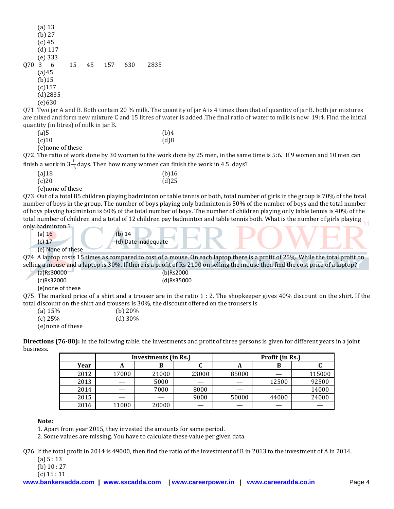|                      | $(a)$ 13  |            |    |    |     |     |      |
|----------------------|-----------|------------|----|----|-----|-----|------|
|                      | $(b)$ 27  |            |    |    |     |     |      |
|                      | (c) 45    |            |    |    |     |     |      |
|                      |           | $(d)$ 117  |    |    |     |     |      |
|                      | (e) 333   |            |    |    |     |     |      |
| Q70.3                |           | 6          | 15 | 45 | 157 | 630 | 2835 |
|                      | (a)45     |            |    |    |     |     |      |
|                      | $(b)$ 15  |            |    |    |     |     |      |
|                      | $(c)$ 157 |            |    |    |     |     |      |
|                      |           | $(d)$ 2835 |    |    |     |     |      |
|                      | (e)630    |            |    |    |     |     |      |
| $\sim$ $\sim$ $\sim$ | $\sim$    | . .        |    |    |     |     |      |

Q71. Two jar A and B. Both contain 20 % milk. The quantity of jar A is 4 times than that of quantity of jar B. both jar mixtures are mixed and form new mixture C and 15 litres of water is added .The final ratio of water to milk is now 19:4. Find the initial quantity (in litres) of milk in jar B.

| (a)5     |        | (b)4 |
|----------|--------|------|
| $(c)$ 10 |        | (d)8 |
| - -      | $\sim$ |      |

(e)none of these

Q72. The ratio of work done by 30 women to the work done by 25 men, in the same time is 5:6. If 9 women and 10 men can finish a work in  $3\frac{1}{13}$  days. Then how many women can finish the work in 4.5  $\,$  days?

| .                 |          |
|-------------------|----------|
| $(a)$ 18          | $(b)$ 16 |
| (c)20             | $(d)$ 25 |
| (e) none of these |          |

Q73. Out of a total 85 children playing badminton or table tennis or both, total number of girls in the group is 70% of the total number of boys in the group. The number of boys playing only badminton is 50% of the number of boys and the total number of boys playing badminton is 60% of the total number of boys. The number of children playing only table tennis is 40% of the total number of children and a total of 12 children pay badminton and table tennis both. What is the number of girls playing only badminton ?

- (a)  $16$  (b)  $14$ 
	- (c) 17 (d) Date inadequate
	- (e) None of these

Q74. A laptop costs 15 times as compared to cost of a mouse. On each laptop there is a profit of 25%. While the total profit on selling a mouse and a laptop is 30%. If there is a profit of Rs 2100 on selling the mouse then find the cost price of a laptop?

| (a)Rs30000       | (b)Rs2000                                                                                                                      |
|------------------|--------------------------------------------------------------------------------------------------------------------------------|
| (c)Rs32000       | (d)Rs35000                                                                                                                     |
| e)none of these) |                                                                                                                                |
|                  | 075. The marked price of a shirt and a trouser are in the ratio $1:2$ . The shopkeeper gives 40% discount on the shirt. If the |
|                  | total discount on the shirt and trousers is 30%, the discount offered on the trousers is                                       |

| aiscount on the shirt and nousers is st |            |
|-----------------------------------------|------------|
| (a) $15%$                               | (b) $20\%$ |
| $(c)$ 25%                               | $(d)$ 30%  |
| (e) none of these                       |            |

**Directions (76-80):** In the following table, the investments and profit of three persons is given for different years in a joint business.

|      | Investments (in Rs.) |       |       |       | Profit (in Rs.) |        |
|------|----------------------|-------|-------|-------|-----------------|--------|
| Year | л                    | В     |       | n     | D               |        |
| 2012 | 17000                | 21000 | 23000 | 85000 |                 | 115000 |
| 2013 |                      | 5000  |       |       | 12500           | 92500  |
| 2014 |                      | 7000  | 8000  |       |                 | 14000  |
| 2015 |                      |       | 9000  | 50000 | 44000           | 24000  |
| 2016 | 11000                | 20000 |       |       |                 |        |

**Note:** 

1. Apart from year 2015, they invested the amounts for same period.

2. Some values are missing. You have to calculate these value per given data.

Q76. If the total profit in 2014 is 49000, then find the ratio of the investment of B in 2013 to the investment of A in 2014.

- (a) 5 : 13
- (b) 10 : 27

(c) 15 : 11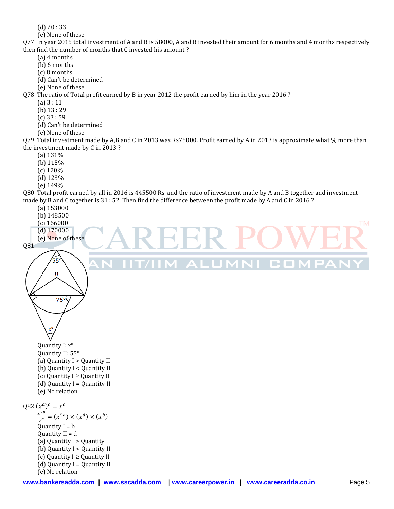- (d) 20 : 33
- (e) None of these

Q77. In year 2015 total investment of A and B is 58000, A and B invested their amount for 6 months and 4 months respectively then find the number of months that C invested his amount ?

- (a) 4 months
- (b) 6 months
- (c) 8 months
- (d) Can't be determined
- (e) None of these

Q78. The ratio of Total profit earned by B in year 2012 the profit earned by him in the year 2016 ?

- (a) 3 : 11
	- (b) 13 : 29
	- (c) 33 : 59
	- (d) Can't be determined
	- (e) None of these

Q79. Total investment made by A,B and C in 2013 was Rs75000. Profit earned by A in 2013 is approximate what % more than the investment made by C in 2013 ?

- (a) 131%
- (b) 115%
- (c) 120%
- (d) 123%
- (e) 149%

Q80. Total profit earned by all in 2016 is 445500 Rs. and the ratio of investment made by A and B together and investment made by B and C together is 31 : 52. Then find the difference between the profit made by A and C in 2016 ?

- (a) 153000
- (b) 148500
- (c) 166000
- (d) 170000
- (e) None of these

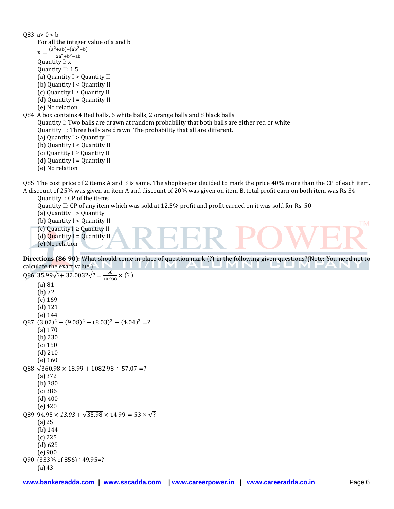083.  $a > 0 < b$ For all the integer value of a and b  $X = \frac{(a^2 + ab) - (ab^2 - b)}{(a^2 + b^2 - b)}$  $2a^2 + b^2$ Quantity I: x Quantity II: 1.5 (a) Quantity I > Quantity II (b) Quantity I < Quantity II (c) Quantity  $I \geq$  Quantity II  $(d)$  Quantity I = Quantity II (e) No relation Q84. A box contains 4 Red balls, 6 white balls, 2 orange balls and 8 black balls. Quantity I: Two balls are drawn at random probability that both balls are either red or white. Quantity II: Three balls are drawn. The probability that all are different. (a) Quantity I > Quantity II (b) Quantity I < Quantity II (c) Quantity  $I \geq$  Quantity II (d) Quantity  $I =$  Quantity II (e) No relation

Q85. The cost price of 2 items A and B is same. The shopkeeper decided to mark the price 40% more than the CP of each item. A discount of 25% was given an item A and discount of 20% was given on item B. total profit earn on both item was Rs.34

Quantity I: CP of the items

Quantity II: CP of any item which was sold at 12.5% profit and profit earned on it was sold for Rs. 50

(a) Quantity I > Quantity II

(b) Quantity I < Quantity II

(c) Quantity  $I \geq$  Quantity II

(d) Quantity  $I =$  Quantity II

(e) No relation

**Directions (86-90):** What should come in place of question mark (?) in the following given questions?(Note: You need not to calculate the exact value.) **TIM** 

```
Q86. 35.99\sqrt{?} + 32.0032\sqrt{?} = \frac{6}{10}\frac{88}{10.998} \times (?)(a) 81
      (b) 72
      (c) 169
      (d) 121
      (e) 144
(287. (3.02)^2 + (9.08)^2 + (8.03)^2 + (4.04)^2)(a) 170
      (b) 230
      (c) 150
      (d) 210
      (e) 160
\sqrt{360.98} \times 18.99 + 1082.98 \div 57.07 = ?(a)372
      (b) 380
      (c) 386
      (d) 400
      (e)420
089.94.95 \times 13.03 + \sqrt{35.98} \times 14.99 = 53 \times \sqrt{2}(a)25
      (b) 144
      (c) 225
      (d) 625
      (e)900Q90. (333% of 856)\div49.95=?
      (a)43
```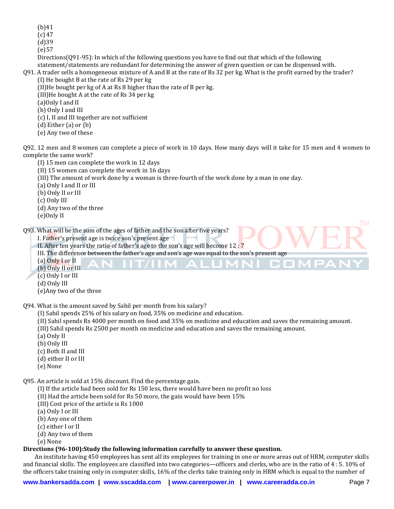(b)41

(c) 47

 $(d)39$ 

(e)57

Directions(Q91-95): In which of the following questions you have to find out that which of the following statement/statements are redundant for determining the answer of given question or can be dispensed with.

Q91. A trader sells a homogeneous mixture of A and B at the rate of Rs 32 per kg. What is the profit earned by the trader? (I) He bought B at the rate of Rs 29 per kg

(II)He bought per kg of A at Rs 8 higher than the rate of B per kg.

(III)He bought A at the rate of Rs 34 per kg

(a)Only I and II

(b) Only I and III

(c) I, II and III together are not sufficient

(d) Either (a) or (b)

(e) Any two of these

Q92. 12 men and 8 women can complete a piece of work in 10 days. How many days will it take for 15 men and 4 women to complete the same work?

(I) 15 men can complete the work in 12 days

(II) 15 women can complete the work in 16 days

(III) The amount of work done by a woman is three-fourth of the work done by a man in one day.

(a) Only I and II or III

(b) Only II or III

(c) Only III

(d) Any two of the three

(e)Only II

Q93. What will be the sum of the ages of father and the son after five years?

I. Father's present age is twice son's present age

II. After ten years the ratio of father's age to the son's age will become 12 : 7

III. The difference between the father's age and son's age was equal to the son's present age

(a) Only I or II

(b) Only II or III

(c) Only I or III

(d) Only III

(e)Any two of the three

Q94. What is the amount saved by Sahil per month from his salary?

(I) Sahil spends 25% of his salary on food, 35% on medicine and education.

(II) Sahil spends Rs 4000 per month on food and 35% on medicine and education and saves the remaining amount.

1 A

**TERMINAL PROPERTY** 

л

G O N

(III) Sahil spends Rs 2500 per month on medicine and education and saves the remaining amount.

(a) Only II

(b) Only III

- (c) Both II and III
- (d) either II or III
- (e) None

Q95. An article is sold at 15% discount. Find the percentage gain.

(I) If the article had been sold for Rs 150 less, there would have been no profit no loss

(II) Had the article been sold for Rs 50 more, the gain would have been 15%

(III) Cost price of the article is Rs 1000

(a) Only I or III

(b) Any one of them

(c) either I or II

(d) Any two of them

(e) None

## **Directions (96-100):Study the following information carefully to answer these question.**

An institute having 450 employees has sent all its employees for training in one or more areas out of HRM, computer skills and financial skills. The employees are classified into two categories—officers and clerks, who are in the ratio of 4 : 5. 10% of the officers take training only in computer skills, 16% of the clerks take training only in HRM which is equal to the number of